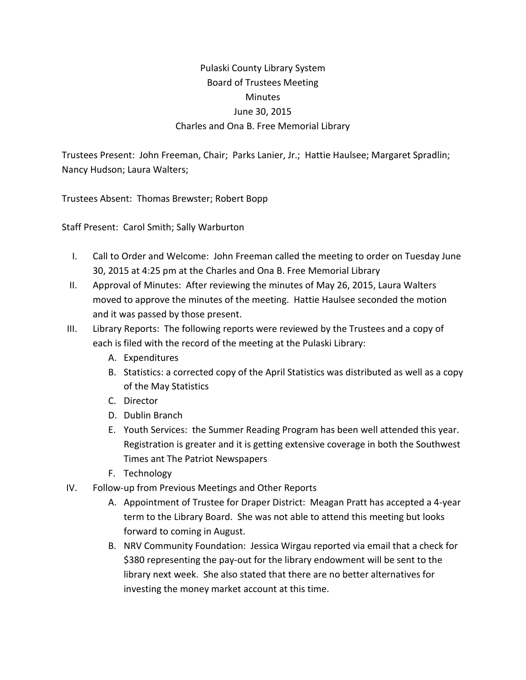## Pulaski County Library System Board of Trustees Meeting **Minutes** June 30, 2015 Charles and Ona B. Free Memorial Library

Trustees Present: John Freeman, Chair; Parks Lanier, Jr.; Hattie Haulsee; Margaret Spradlin; Nancy Hudson; Laura Walters;

Trustees Absent: Thomas Brewster; Robert Bopp

Staff Present: Carol Smith; Sally Warburton

- I. Call to Order and Welcome: John Freeman called the meeting to order on Tuesday June 30, 2015 at 4:25 pm at the Charles and Ona B. Free Memorial Library
- II. Approval of Minutes: After reviewing the minutes of May 26, 2015, Laura Walters moved to approve the minutes of the meeting. Hattie Haulsee seconded the motion and it was passed by those present.
- III. Library Reports: The following reports were reviewed by the Trustees and a copy of each is filed with the record of the meeting at the Pulaski Library:
	- A. Expenditures
	- B. Statistics: a corrected copy of the April Statistics was distributed as well as a copy of the May Statistics
	- C. Director
	- D. Dublin Branch
	- E. Youth Services: the Summer Reading Program has been well attended this year. Registration is greater and it is getting extensive coverage in both the Southwest Times ant The Patriot Newspapers
	- F. Technology
- IV. Follow-up from Previous Meetings and Other Reports
	- A. Appointment of Trustee for Draper District: Meagan Pratt has accepted a 4-year term to the Library Board. She was not able to attend this meeting but looks forward to coming in August.
	- B. NRV Community Foundation: Jessica Wirgau reported via email that a check for \$380 representing the pay-out for the library endowment will be sent to the library next week. She also stated that there are no better alternatives for investing the money market account at this time.